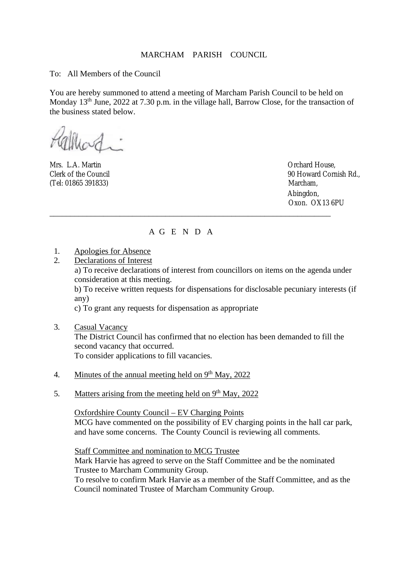## MARCHAM PARISH COUNCIL

To: All Members of the Council

You are hereby summoned to attend a meeting of Marcham Parish Council to be held on Monday 13<sup>th</sup> June, 2022 at 7.30 p.m. in the village hall, Barrow Close, for the transaction of the business stated below.

Mrs. L.A. Martin Orchard House, (Tel: 01865 391833) Marcham,

Clerk of the Council 90 Howard Cornish Rd., Abingdon, Oxon. OX13 6PU

## A G E N D A

\_\_\_\_\_\_\_\_\_\_\_\_\_\_\_\_\_\_\_\_\_\_\_\_\_\_\_\_\_\_\_\_\_\_\_\_\_\_\_\_\_\_\_\_\_\_\_\_\_\_\_\_\_\_\_\_\_\_\_\_\_\_\_\_\_\_\_\_

- 1. Apologies for Absence
- 2. Declarations of Interest

 a) To receive declarations of interest from councillors on items on the agenda under consideration at this meeting.

b) To receive written requests for dispensations for disclosable pecuniary interests (if any)

c) To grant any requests for dispensation as appropriate

- 3. Casual Vacancy The District Council has confirmed that no election has been demanded to fill the second vacancy that occurred. To consider applications to fill vacancies.
- 4. Minutes of the annual meeting held on  $9<sup>th</sup>$  May, 2022
- 5. Matters arising from the meeting held on 9<sup>th</sup> May, 2022

Oxfordshire County Council – EV Charging Points MCG have commented on the possibility of EV charging points in the hall car park, and have some concerns. The County Council is reviewing all comments.

 Staff Committee and nomination to MCG Trustee Mark Harvie has agreed to serve on the Staff Committee and be the nominated Trustee to Marcham Community Group. To resolve to confirm Mark Harvie as a member of the Staff Committee, and as the Council nominated Trustee of Marcham Community Group.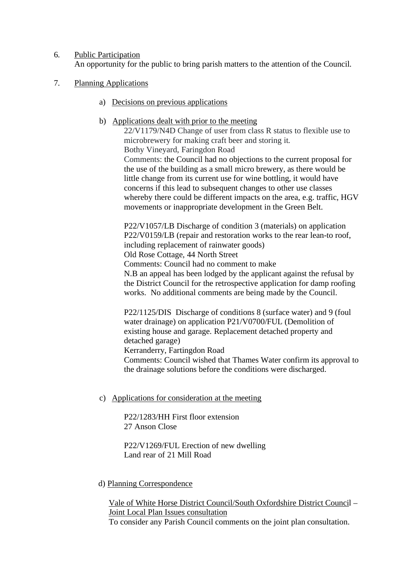6. Public Participation

An opportunity for the public to bring parish matters to the attention of the Council.

- 7. Planning Applications
	- a) Decisions on previous applications
	- b) Applications dealt with prior to the meeting

22/V1179/N4D Change of user from class R status to flexible use to microbrewery for making craft beer and storing it. Bothy Vineyard, Faringdon Road Comments: the Council had no objections to the current proposal for the use of the building as a small micro brewery, as there would be little change from its current use for wine bottling, it would have concerns if this lead to subsequent changes to other use classes whereby there could be different impacts on the area, e.g. traffic, HGV movements or inappropriate development in the Green Belt.

P22/V1057/LB Discharge of condition 3 (materials) on application P22/V0159/LB (repair and restoration works to the rear lean-to roof, including replacement of rainwater goods) Old Rose Cottage, 44 North Street Comments: Council had no comment to make N.B an appeal has been lodged by the applicant against the refusal by the District Council for the retrospective application for damp roofing works. No additional comments are being made by the Council.

P22/1125/DIS Discharge of conditions 8 (surface water) and 9 (foul water drainage) on application P21/V0700/FUL (Demolition of existing house and garage. Replacement detached property and detached garage) Kerranderry, Fartingdon Road Comments: Council wished that Thames Water confirm its approval to the drainage solutions before the conditions were discharged.

c) Applications for consideration at the meeting

P22/1283/HH First floor extension 27 Anson Close

P22/V1269/FUL Erection of new dwelling Land rear of 21 Mill Road

d) Planning Correspondence

 Vale of White Horse District Council/South Oxfordshire District Council – Joint Local Plan Issues consultation

To consider any Parish Council comments on the joint plan consultation.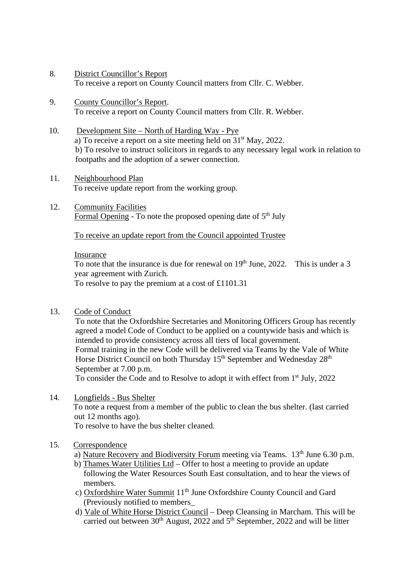- 8. District Councillor's Report To receive a report on County Council matters from Cllr. C. Webber.
- 9. County Councillor's Report. To receive a report on County Council matters from Cllr. R. Webber.
- 10. Development Site North of Harding Way Pye a) To receive a report on a site meeting held on 31st May, 2022. b) To resolve to instruct solicitors in regards to any necessary legal work in relation to footpaths and the adoption of a sewer connection.
- 11. Neighbourhood Plan To receive update report from the working group.
- 12. Community Facilities Formal Opening - To note the proposed opening date of  $5<sup>th</sup>$  July

To receive an update report from the Council appointed Trustee

## Insurance

To note that the insurance is due for renewal on  $19<sup>th</sup>$  June, 2022. This is under a 3 year agreement with Zurich.

To resolve to pay the premium at a cost of £1101.31

13. Code of Conduct

 To note that the Oxfordshire Secretaries and Monitoring Officers Group has recently agreed a model Code of Conduct to be applied on a countywide basis and which is intended to provide consistency across all tiers of local government. Formal training in the new Code will be delivered via Teams by the Vale of White Horse District Council on both Thursday 15<sup>th</sup> September and Wednesday 28<sup>th</sup> September at 7.00 p.m.

To consider the Code and to Resolve to adopt it with effect from 1<sup>st</sup> July, 2022

- 14. Longfields Bus Shelter To note a request from a member of the public to clean the bus shelter. (last carried out 12 months ago). To resolve to have the bus shelter cleaned.
- 15. Correspondence
	- a) Nature Recovery and Biodiversity Forum meeting via Teams. 13<sup>th</sup> June 6.30 p.m.
	- b) Thames Water Utilities Ltd Offer to host a meeting to provide an update following the Water Resources South East consultation, and to hear the views of members.
	- c) Oxfordshire Water Summit 11<sup>th</sup> June Oxfordshire County Council and Gard (Previously notified to members\_
	- d) Vale of White Horse District Council Deep Cleansing in Marcham. This will be carried out between  $30<sup>th</sup>$  August, 2022 and  $5<sup>th</sup>$  September, 2022 and will be litter